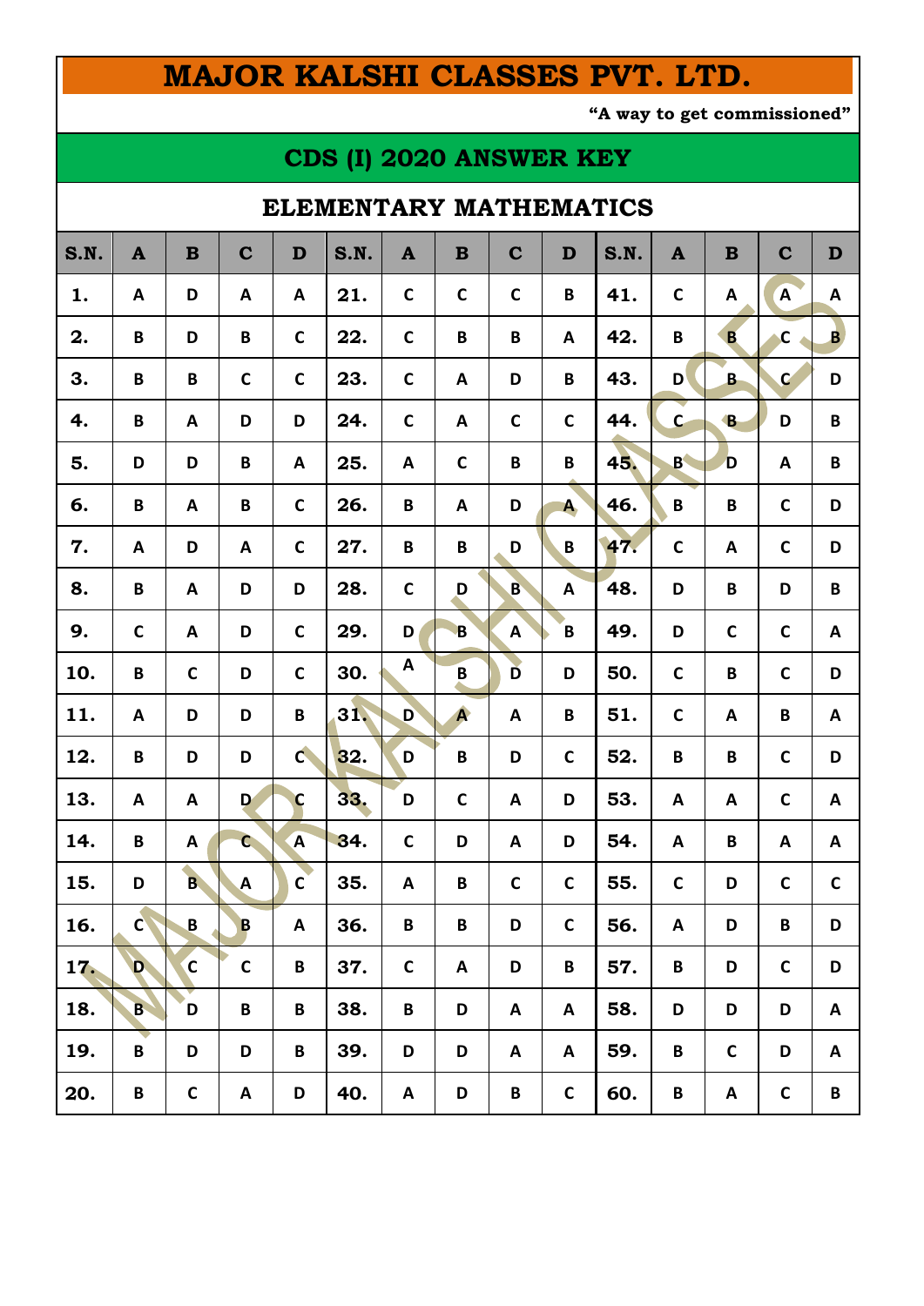# **MAJOR KALSHI CLASSES PVT. LTD.**

**"A way to get commissioned"**

## **CDS (I) 2020 ANSWER KEY**

### **ELEMENTARY MATHEMATICS**

| S.N. | $\mathbf{A}$ | $\bf{B}$       | $\mathbf C$  | D               | S.N. | $\mathbf{A}$ | $\bf{B}$                | $\mathbf C$ | D            | S.N. | $\mathbf{A}$ | $\mathbf B$  | $\mathbf C$    | $\mathbf D$  |
|------|--------------|----------------|--------------|-----------------|------|--------------|-------------------------|-------------|--------------|------|--------------|--------------|----------------|--------------|
| 1.   | A            | D              | A            | A               | 21.  | $\mathbf C$  | $\mathbf C$             | $\mathbf C$ | B            | 41.  | $\mathsf C$  | A            | $\overline{A}$ | A            |
| 2.   | B            | D              | B            | $\mathsf{C}$    | 22.  | $\mathbf C$  | B                       | B           | A            | 42.  | $\pmb B$     | B            | $\mathbf c$    | $\mathbf{B}$ |
| 3.   | B            | B              | $\mathsf{C}$ | $\mathsf{C}$    | 23.  | $\mathbf c$  | A                       | D           | B            | 43.  | D            | $\mathbf{B}$ | $\mathbf{C}$   | D            |
| 4.   | B            | A              | D            | D               | 24.  | $\mathbf C$  | A                       | $\mathbf c$ | $\mathbf C$  | 44.  | $\mathbf{C}$ | $\mathbf{B}$ | D              | $\pmb B$     |
| 5.   | D            | D              | B            | A               | 25.  | A            | $\mathsf C$             | B           | B            | 45.  | B            | D            | A              | B            |
| 6.   | B            | A              | B            | $\mathsf C$     | 26.  | B            | A                       | D           | A            | 46.  | B            | B            | $\mathbf C$    | D            |
| 7.   | A            | D              | A            | $\mathsf{C}$    | 27.  | B            | B                       | D           | $\pmb B$     | 47.  | $\mathbf C$  | A            | $\mathbf C$    | D            |
| 8.   | B            | A              | D            | D               | 28.  | $\mathsf{C}$ | D                       | B           | A            | 48.  | D            | B            | D              | $\pmb B$     |
| 9.   | $\mathbf C$  | A              | D            | $\mathsf{C}$    | 29.  | D            | $\overline{\mathbf{B}}$ | A           | B            | 49.  | D            | $\mathbf C$  | $\mathsf C$    | A            |
| 10.  | $\pmb B$     | $\mathsf{C}$   | D            | $\mathsf C$     | 30.  | A            | B                       | Ď           | D            | 50.  | $\mathbf C$  | B            | $\mathbf C$    | D            |
| 11.  | A            | D              | D            | $\, {\bf B} \,$ | 31,  | D            | A                       | A           | $\pmb B$     | 51.  | $\mathsf C$  | A            | B              | Α            |
| 12.  | B            | D              | D            | $\mathbf{C}$    | 32.  | D            | B                       | D           | $\mathbf C$  | 52.  | $\pmb B$     | B            | $\mathbf C$    | D            |
| 13.  | A            | A              | D            | $\mathbf c$     | 33.  | D            | $\mathbf C$             | A           | D            | 53.  | A            | A            | $\mathsf C$    | A            |
| 14.  | B            | A              | $\mathbf{C}$ | A               | 34.  | $\mathbf C$  | D                       | A           | D            | 54.  | A            | B            | A              | A            |
| 15.  | D            | $\overline{B}$ | $\mathbf{A}$ | $\mathsf{C}$    | 35.  | A            | B                       | $\mathbf c$ | $\mathsf{C}$ | 55.  | $\mathsf{C}$ | D            | C              | $\mathbf C$  |
| 16.  | $\mathbf{C}$ | $\pmb B$       | B            | Α               | 36.  | $\pmb B$     | B                       | D           | C            | 56.  | A            | D            | B              | D            |
| 17.  | D            | $\mathbf{C}$   | $\mathsf{C}$ | B               | 37.  | $\mathsf{C}$ | A                       | D           | B            | 57.  | B            | D            | $\mathsf C$    | D            |
| 18.  | B            | D              | B            | B               | 38.  | B            | D                       | Α           | A            | 58.  | D            | D            | D              | A            |
| 19.  | B            | D              | D            | B               | 39.  | D            | D                       | A           | A            | 59.  | B            | $\mathsf{C}$ | D              | A            |
| 20.  | B            | $\mathsf C$    | A            | D               | 40.  | A            | D                       | B           | $\mathsf{C}$ | 60.  | B            | A            | $\mathsf C$    | B            |